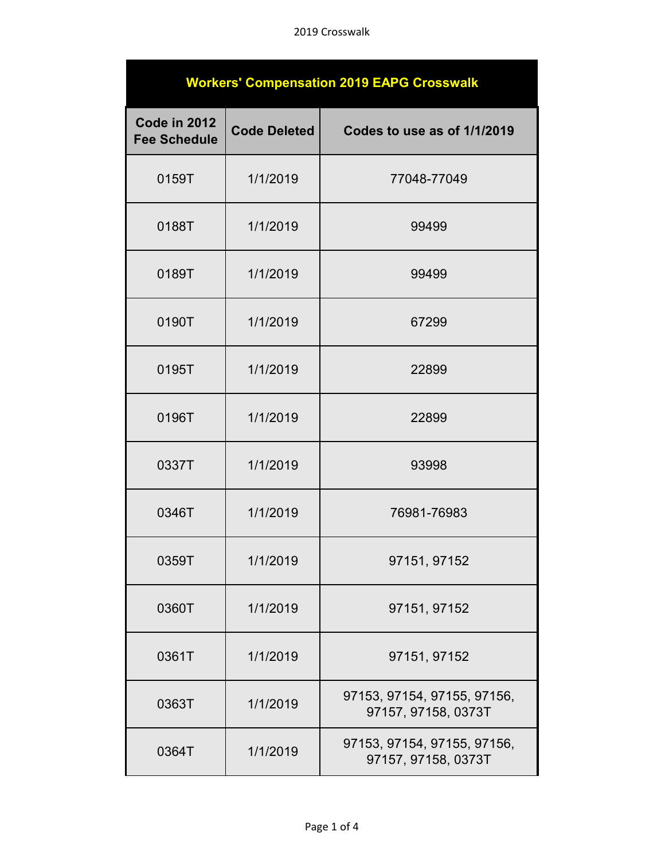## 2019 Crosswalk

| <b>Workers' Compensation 2019 EAPG Crosswalk</b> |                     |                                                    |  |  |
|--------------------------------------------------|---------------------|----------------------------------------------------|--|--|
| Code in 2012<br><b>Fee Schedule</b>              | <b>Code Deleted</b> | Codes to use as of 1/1/2019                        |  |  |
| 0159T                                            | 1/1/2019            | 77048-77049                                        |  |  |
| 0188T                                            | 1/1/2019            | 99499                                              |  |  |
| 0189T                                            | 1/1/2019            | 99499                                              |  |  |
| 0190T                                            | 1/1/2019            | 67299                                              |  |  |
| 0195T                                            | 1/1/2019            | 22899                                              |  |  |
| 0196T                                            | 1/1/2019            | 22899                                              |  |  |
| 0337T                                            | 1/1/2019            | 93998                                              |  |  |
| 0346T                                            | 1/1/2019            | 76981-76983                                        |  |  |
| 0359T                                            | 1/1/2019            | 97151, 97152                                       |  |  |
| 0360T                                            | 1/1/2019            | 97151, 97152                                       |  |  |
| 0361T                                            | 1/1/2019            | 97151, 97152                                       |  |  |
| 0363T                                            | 1/1/2019            | 97153, 97154, 97155, 97156,<br>97157, 97158, 0373T |  |  |
| 0364T                                            | 1/1/2019            | 97153, 97154, 97155, 97156,<br>97157, 97158, 0373T |  |  |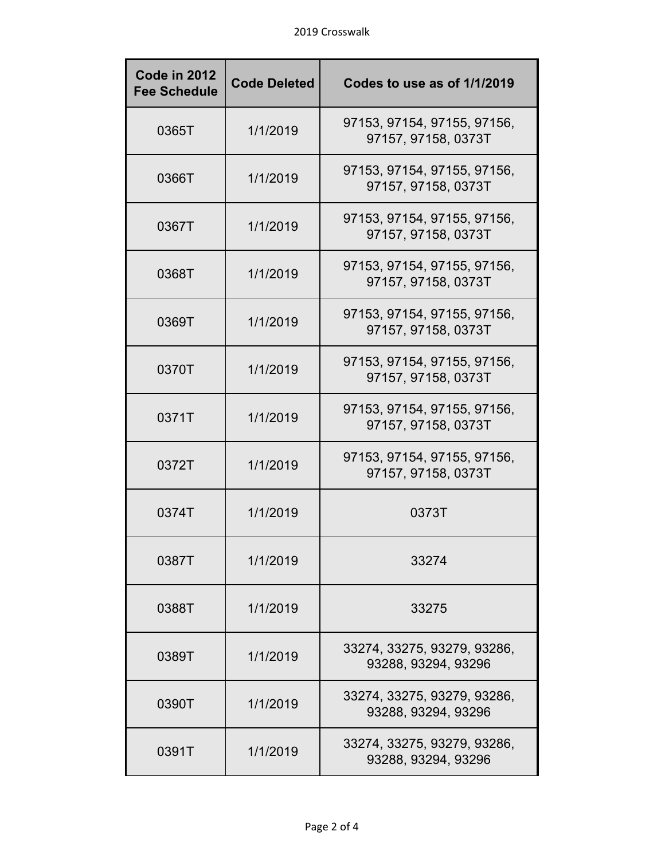| Code in 2012<br><b>Fee Schedule</b> | <b>Code Deleted</b> | Codes to use as of 1/1/2019                        |
|-------------------------------------|---------------------|----------------------------------------------------|
| 0365T                               | 1/1/2019            | 97153, 97154, 97155, 97156,<br>97157, 97158, 0373T |
| 0366T                               | 1/1/2019            | 97153, 97154, 97155, 97156,<br>97157, 97158, 0373T |
| 0367T                               | 1/1/2019            | 97153, 97154, 97155, 97156,<br>97157, 97158, 0373T |
| 0368T                               | 1/1/2019            | 97153, 97154, 97155, 97156,<br>97157, 97158, 0373T |
| 0369T                               | 1/1/2019            | 97153, 97154, 97155, 97156,<br>97157, 97158, 0373T |
| 0370T                               | 1/1/2019            | 97153, 97154, 97155, 97156,<br>97157, 97158, 0373T |
| 0371T                               | 1/1/2019            | 97153, 97154, 97155, 97156,<br>97157, 97158, 0373T |
| 0372T                               | 1/1/2019            | 97153, 97154, 97155, 97156,<br>97157, 97158, 0373T |
| 0374T                               | 1/1/2019            | 0373T                                              |
| 0387T                               | 1/1/2019            | 33274                                              |
| 0388T                               | 1/1/2019            | 33275                                              |
| 0389T                               | 1/1/2019            | 33274, 33275, 93279, 93286,<br>93288, 93294, 93296 |
| 0390T                               | 1/1/2019            | 33274, 33275, 93279, 93286,<br>93288, 93294, 93296 |
| 0391T                               | 1/1/2019            | 33274, 33275, 93279, 93286,<br>93288, 93294, 93296 |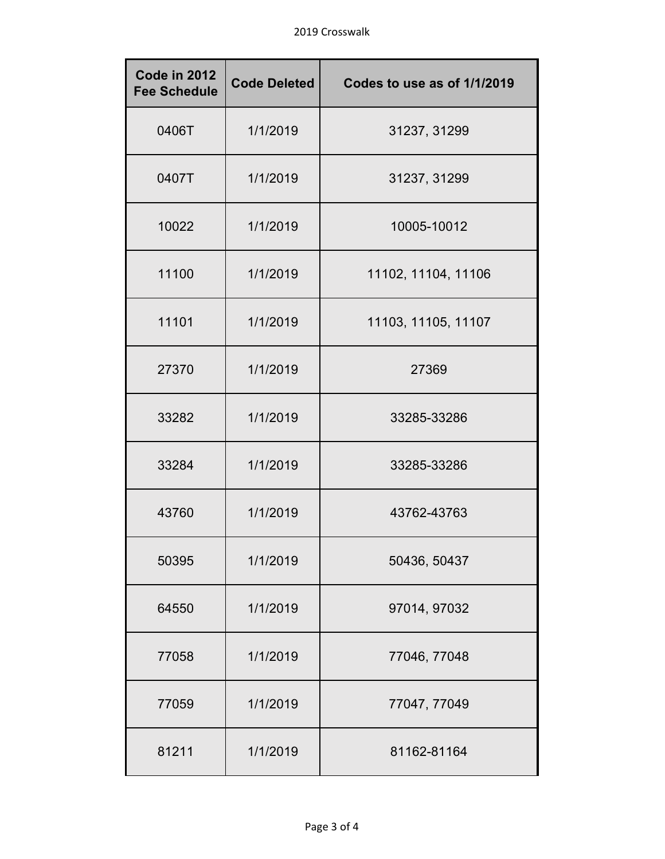| Code in 2012<br><b>Fee Schedule</b> | <b>Code Deleted</b> | Codes to use as of 1/1/2019 |
|-------------------------------------|---------------------|-----------------------------|
| 0406T                               | 1/1/2019            | 31237, 31299                |
| 0407T                               | 1/1/2019            | 31237, 31299                |
| 10022                               | 1/1/2019            | 10005-10012                 |
| 11100                               | 1/1/2019            | 11102, 11104, 11106         |
| 11101                               | 1/1/2019            | 11103, 11105, 11107         |
| 27370                               | 1/1/2019            | 27369                       |
| 33282                               | 1/1/2019            | 33285-33286                 |
| 33284                               | 1/1/2019            | 33285-33286                 |
| 43760                               | 1/1/2019            | 43762-43763                 |
| 50395                               | 1/1/2019            | 50436, 50437                |
| 64550                               | 1/1/2019            | 97014, 97032                |
| 77058                               | 1/1/2019            | 77046, 77048                |
| 77059                               | 1/1/2019            | 77047, 77049                |
| 81211                               | 1/1/2019            | 81162-81164                 |